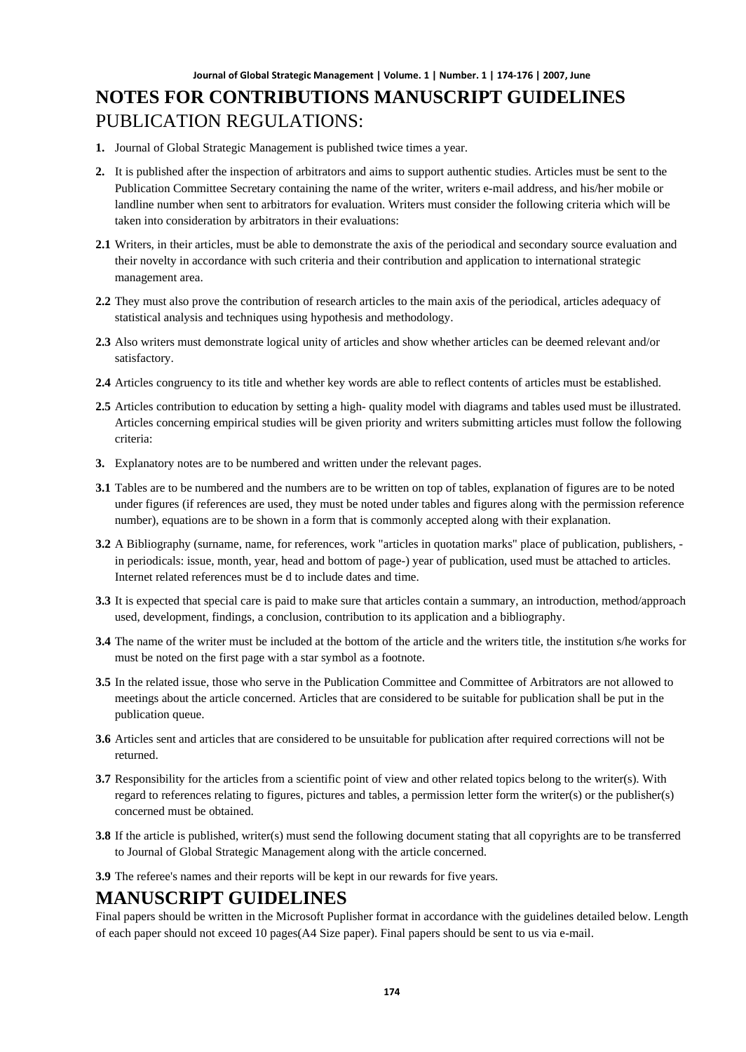# **NOTES FOR CONTRIBUTIONS MANUSCRIPT GUIDELINES** PUBLICATION REGULATIONS:

- **1.** Journal of Global Strategic Management is published twice times a year.
- **2.** It is published after the inspection of arbitrators and aims to support authentic studies. Articles must be sent to the Publication Committee Secretary containing the name of the writer, writers e-mail address, and his/her mobile or landline number when sent to arbitrators for evaluation. Writers must consider the following criteria which will be taken into consideration by arbitrators in their evaluations:
- **2.1** Writers, in their articles, must be able to demonstrate the axis of the periodical and secondary source evaluation and their novelty in accordance with such criteria and their contribution and application to international strategic management area.
- **2.2** They must also prove the contribution of research articles to the main axis of the periodical, articles adequacy of statistical analysis and techniques using hypothesis and methodology.
- **2.3** Also writers must demonstrate logical unity of articles and show whether articles can be deemed relevant and/or satisfactory.
- **2.4** Articles congruency to its title and whether key words are able to reflect contents of articles must be established.
- **2.5** Articles contribution to education by setting a high- quality model with diagrams and tables used must be illustrated. Articles concerning empirical studies will be given priority and writers submitting articles must follow the following criteria:
- **3.** Explanatory notes are to be numbered and written under the relevant pages.
- **3.1** Tables are to be numbered and the numbers are to be written on top of tables, explanation of figures are to be noted under figures (if references are used, they must be noted under tables and figures along with the permission reference number), equations are to be shown in a form that is commonly accepted along with their explanation.
- **3.2** A Bibliography (surname, name, for references, work "articles in quotation marks" place of publication, publishers, in periodicals: issue, month, year, head and bottom of page-) year of publication, used must be attached to articles. Internet related references must be d to include dates and time.
- **3.3** It is expected that special care is paid to make sure that articles contain a summary, an introduction, method/approach used, development, findings, a conclusion, contribution to its application and a bibliography.
- **3.4** The name of the writer must be included at the bottom of the article and the writers title, the institution s/he works for must be noted on the first page with a star symbol as a footnote.
- **3.5** In the related issue, those who serve in the Publication Committee and Committee of Arbitrators are not allowed to meetings about the article concerned. Articles that are considered to be suitable for publication shall be put in the publication queue.
- **3.6** Articles sent and articles that are considered to be unsuitable for publication after required corrections will not be returned.
- **3.7** Responsibility for the articles from a scientific point of view and other related topics belong to the writer(s). With regard to references relating to figures, pictures and tables, a permission letter form the writer(s) or the publisher(s) concerned must be obtained.
- **3.8** If the article is published, writer(s) must send the following document stating that all copyrights are to be transferred to Journal of Global Strategic Management along with the article concerned.
- **3.9** The referee's names and their reports will be kept in our rewards for five years.

### **MANUSCRIPT GUIDELINES**

Final papers should be written in the Microsoft Puplisher format in accordance with the guidelines detailed below. Length of each paper should not exceed 10 pages(A4 Size paper). Final papers should be sent to us via e-mail.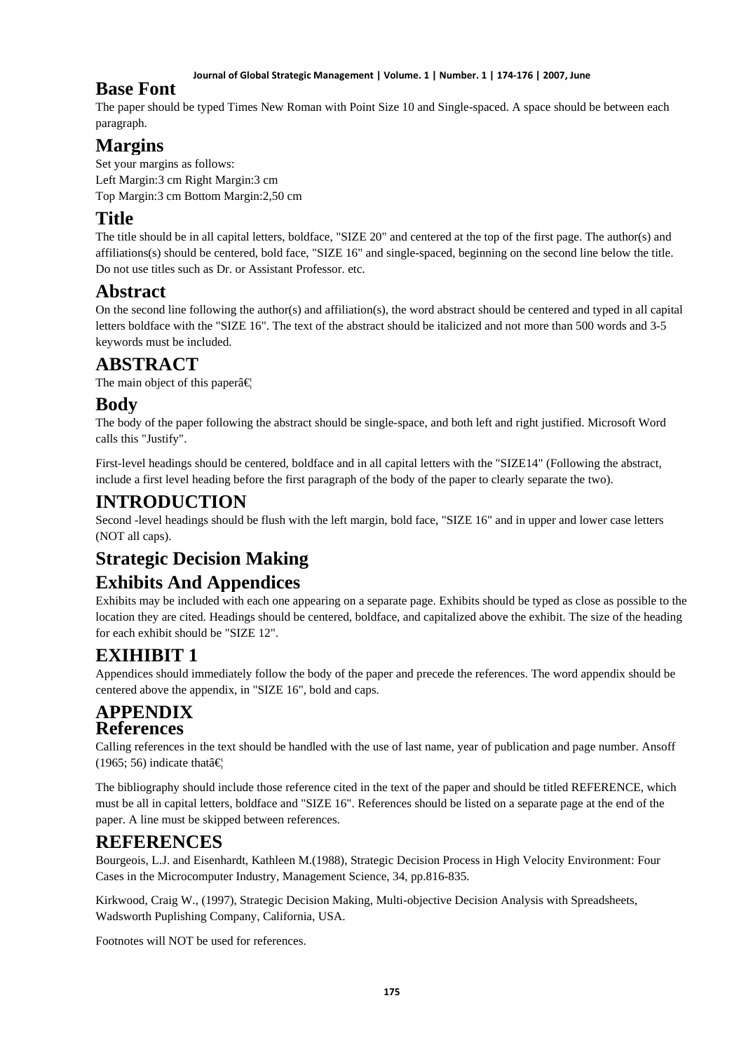#### **Journal of Global Strategic Management | Volume. 1 | Number. 1 | 174-176 | 2007, June**

### **Base Font**

The paper should be typed Times New Roman with Point Size 10 and Single-spaced. A space should be between each paragraph.

# **Margins**

Set your margins as follows: Left Margin:3 cm Right Margin:3 cm Top Margin:3 cm Bottom Margin:2,50 cm

# **Title**

The title should be in all capital letters, boldface, "SIZE 20" and centered at the top of the first page. The author(s) and affiliations(s) should be centered, bold face, "SIZE 16" and single-spaced, beginning on the second line below the title. Do not use titles such as Dr. or Assistant Professor. etc.

## **Abstract**

On the second line following the author(s) and affiliation(s), the word abstract should be centered and typed in all capital letters boldface with the "SIZE 16". The text of the abstract should be italicized and not more than 500 words and 3-5 keywords must be included.

## **ABSTRACT**

The main object of this paper $\hat{a} \in \mathbb{R}$ 

### **Body**

The body of the paper following the abstract should be single-space, and both left and right justified. Microsoft Word calls this "Justify".

First-level headings should be centered, boldface and in all capital letters with the "SIZE14" (Following the abstract, include a first level heading before the first paragraph of the body of the paper to clearly separate the two).

### **INTRODUCTION**

Second -level headings should be flush with the left margin, bold face, "SIZE 16" and in upper and lower case letters (NOT all caps).

# **Strategic Decision Making**

# **Exhibits And Appendices**

Exhibits may be included with each one appearing on a separate page. Exhibits should be typed as close as possible to the location they are cited. Headings should be centered, boldface, and capitalized above the exhibit. The size of the heading for each exhibit should be "SIZE 12".

# **EXIHIBIT 1**

Appendices should immediately follow the body of the paper and precede the references. The word appendix should be centered above the appendix, in "SIZE 16", bold and caps.

### **APPENDIX References**

Calling references in the text should be handled with the use of last name, year of publication and page number. Ansoff (1965; 56) indicate that  $\hat{\mathbf{\epsilon}}$ 

The bibliography should include those reference cited in the text of the paper and should be titled REFERENCE, which must be all in capital letters, boldface and "SIZE 16". References should be listed on a separate page at the end of the paper. A line must be skipped between references.

# **REFERENCES**

Bourgeois, L.J. and Eisenhardt, Kathleen M.(1988), Strategic Decision Process in High Velocity Environment: Four Cases in the Microcomputer Industry, Management Science, 34, pp.816-835.

Kirkwood, Craig W., (1997), Strategic Decision Making, Multi-objective Decision Analysis with Spreadsheets, Wadsworth Puplishing Company, California, USA.

Footnotes will NOT be used for references.